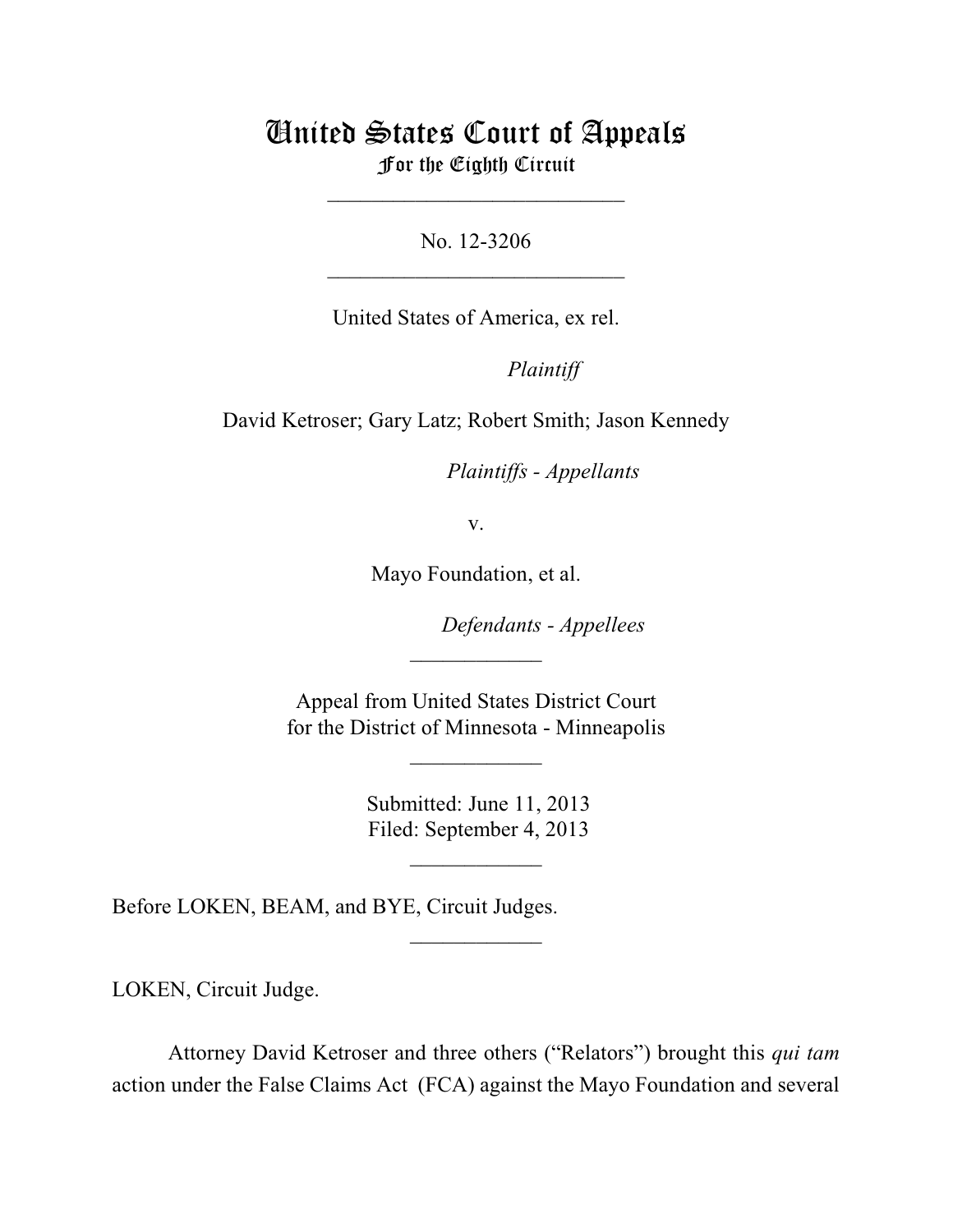## United States Court of Appeals For the Eighth Circuit

\_\_\_\_\_\_\_\_\_\_\_\_\_\_\_\_\_\_\_\_\_\_\_\_\_\_\_

No. 12-3206  $\mathcal{L}_\text{max}$  , which is a set of the set of the set of the set of the set of the set of the set of the set of the set of the set of the set of the set of the set of the set of the set of the set of the set of the set of

United States of America, ex rel.

Plaintiff

David Ketroser; Gary Latz; Robert Smith; Jason Kennedy

*Plaintiffs - Appellants* 

v.

Mayo Foundation, et al.

**Defendants - Appellees** 

 Appeal from United States District Court for the District of Minnesota - Minneapolis

 $\frac{1}{2}$ 

\_\_\_\_\_\_\_\_\_\_\_\_

 Submitted: June 11, 2013 Filed: September 4, 2013

 $\frac{1}{2}$ 

 $\frac{1}{2}$ 

Before LOKEN, BEAM, and BYE, Circuit Judges.

LOKEN, Circuit Judge.

Attorney David Ketroser and three others ("Relators") brought this *qui tam* action under the False Claims Act (FCA) against the Mayo Foundation and several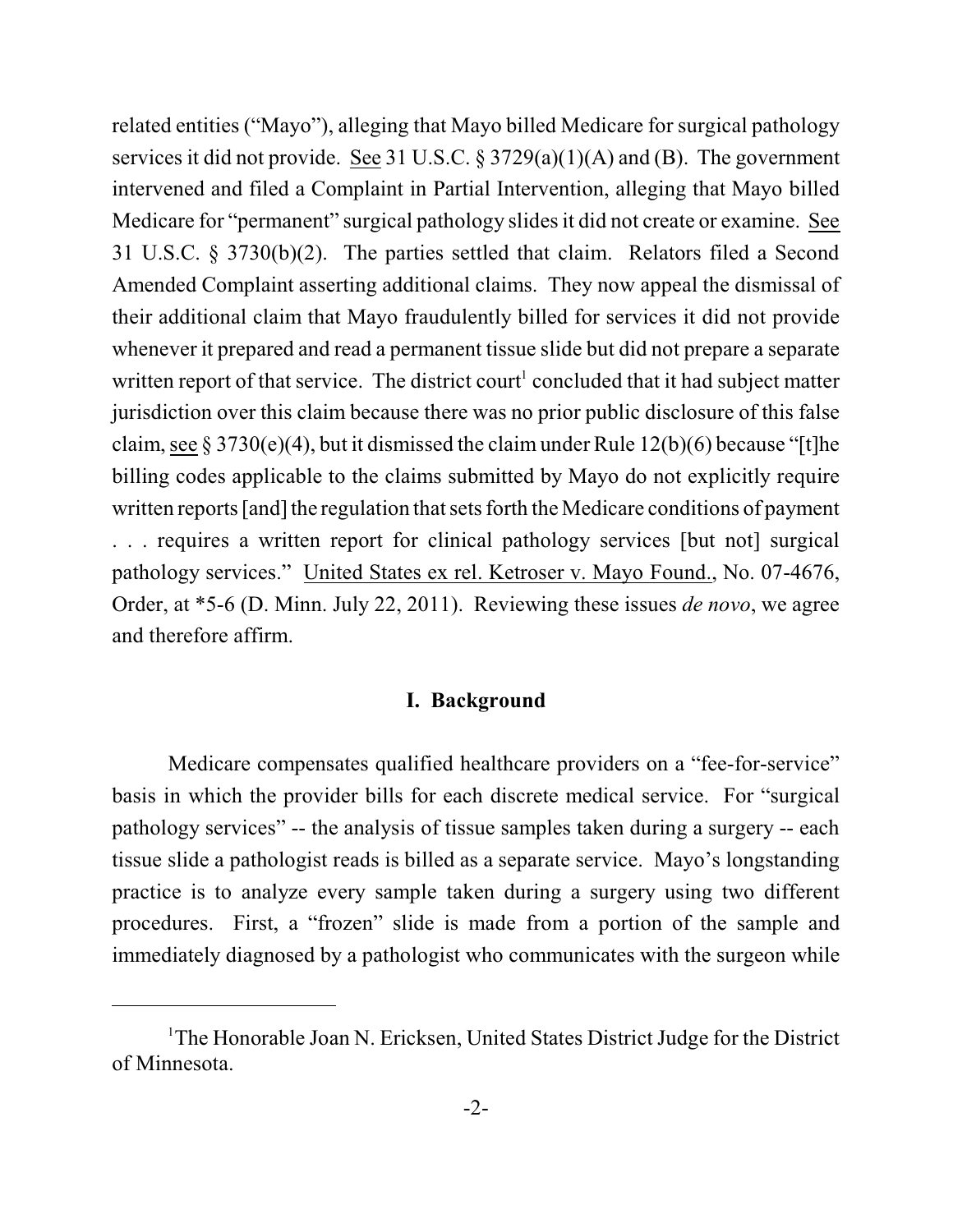related entities ("Mayo"), alleging that Mayo billed Medicare for surgical pathology services it did not provide. See 31 U.S.C. § 3729(a)(1)(A) and (B). The government intervened and filed a Complaint in Partial Intervention, alleging that Mayo billed Medicare for "permanent" surgical pathology slides it did not create or examine. See 31 U.S.C. § 3730(b)(2). The parties settled that claim. Relators filed a Second Amended Complaint asserting additional claims. They now appeal the dismissal of their additional claim that Mayo fraudulently billed for services it did not provide whenever it prepared and read a permanent tissue slide but did not prepare a separate written report of that service. The district court<sup>1</sup> concluded that it had subject matter jurisdiction over this claim because there was no prior public disclosure of this false claim, see  $\S 3730(e)(4)$ , but it dismissed the claim under Rule 12(b)(6) because "[t]he billing codes applicable to the claims submitted by Mayo do not explicitly require written reports [and] the regulation that sets forth the Medicare conditions of payment . . . requires a written report for clinical pathology services [but not] surgical pathology services." United States ex rel. Ketroser v. Mayo Found., No. 07-4676, Order, at \*5-6 (D. Minn. July 22, 2011). Reviewing these issues *de novo*, we agree and therefore affirm.

## **I. Background**

Medicare compensates qualified healthcare providers on a "fee-for-service" basis in which the provider bills for each discrete medical service. For "surgical pathology services" -- the analysis of tissue samples taken during a surgery -- each tissue slide a pathologist reads is billed as a separate service. Mayo's longstanding practice is to analyze every sample taken during a surgery using two different procedures. First, a "frozen" slide is made from a portion of the sample and immediately diagnosed by a pathologist who communicates with the surgeon while

<sup>&</sup>lt;sup>1</sup>The Honorable Joan N. Ericksen, United States District Judge for the District of Minnesota.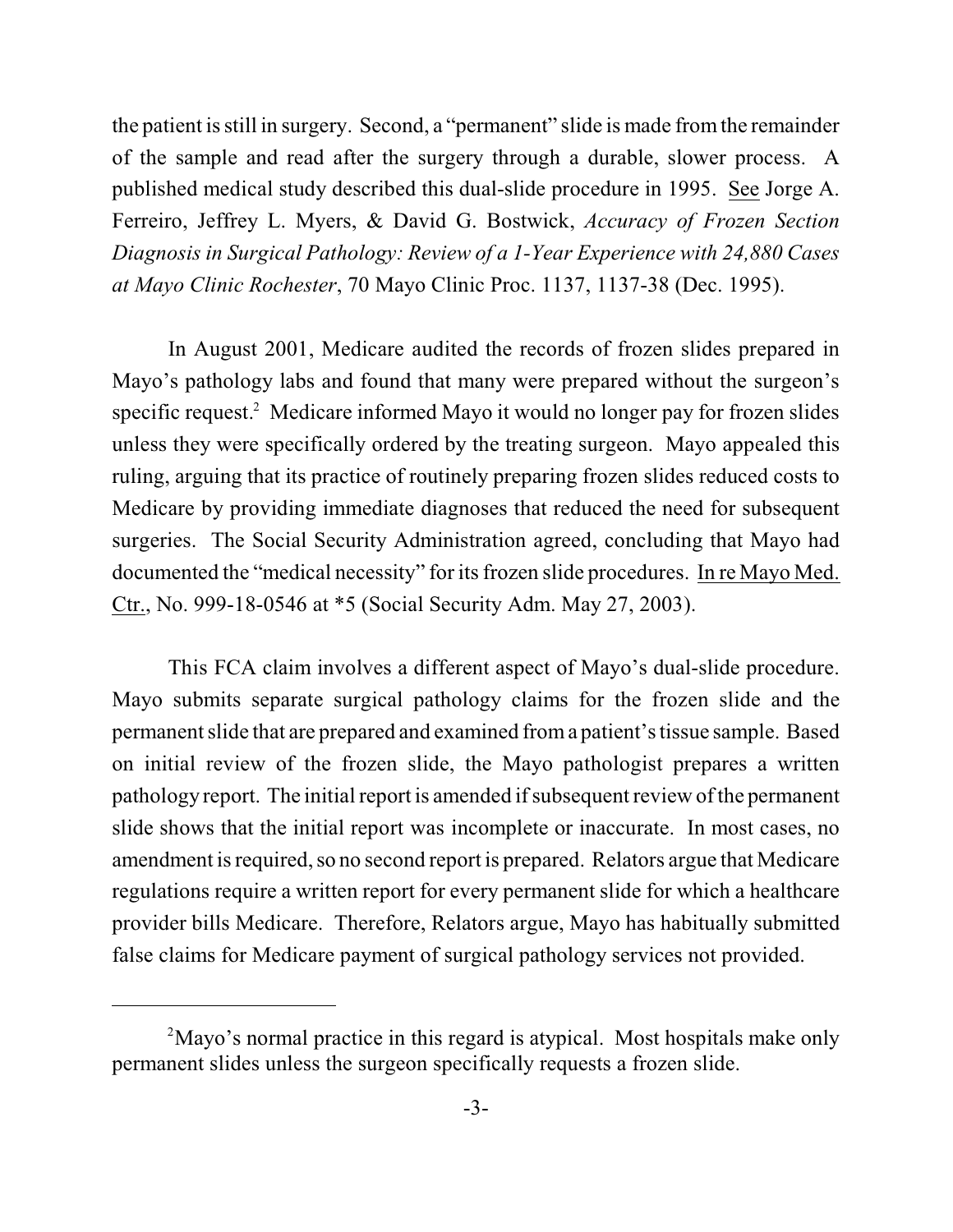the patient isstill in surgery. Second, a "permanent" slide is made fromthe remainder of the sample and read after the surgery through a durable, slower process. A published medical study described this dual-slide procedure in 1995. See Jorge A. Ferreiro, Jeffrey L. Myers, & David G. Bostwick, *Accuracy of Frozen Section Diagnosis in Surgical Pathology: Review of a 1-Year Experience with 24,880 Cases at Mayo Clinic Rochester*, 70 Mayo Clinic Proc. 1137, 1137-38 (Dec. 1995).

In August 2001, Medicare audited the records of frozen slides prepared in Mayo's pathology labs and found that many were prepared without the surgeon's specific request. $^2$  Medicare informed Mayo it would no longer pay for frozen slides unless they were specifically ordered by the treating surgeon. Mayo appealed this ruling, arguing that its practice of routinely preparing frozen slides reduced costs to Medicare by providing immediate diagnoses that reduced the need for subsequent surgeries. The Social Security Administration agreed, concluding that Mayo had documented the "medical necessity" for its frozen slide procedures. In re Mayo Med. Ctr., No. 999-18-0546 at \*5 (Social Security Adm. May 27, 2003).

This FCA claim involves a different aspect of Mayo's dual-slide procedure. Mayo submits separate surgical pathology claims for the frozen slide and the permanent slide that are prepared and examined froma patient's tissue sample. Based on initial review of the frozen slide, the Mayo pathologist prepares a written pathology report. The initial report is amended if subsequent review of the permanent slide shows that the initial report was incomplete or inaccurate. In most cases, no amendment is required, so no second report is prepared. Relators argue that Medicare regulations require a written report for every permanent slide for which a healthcare provider bills Medicare. Therefore, Relators argue, Mayo has habitually submitted false claims for Medicare payment of surgical pathology services not provided.

<sup>&</sup>lt;sup>2</sup>Mayo's normal practice in this regard is atypical. Most hospitals make only permanent slides unless the surgeon specifically requests a frozen slide.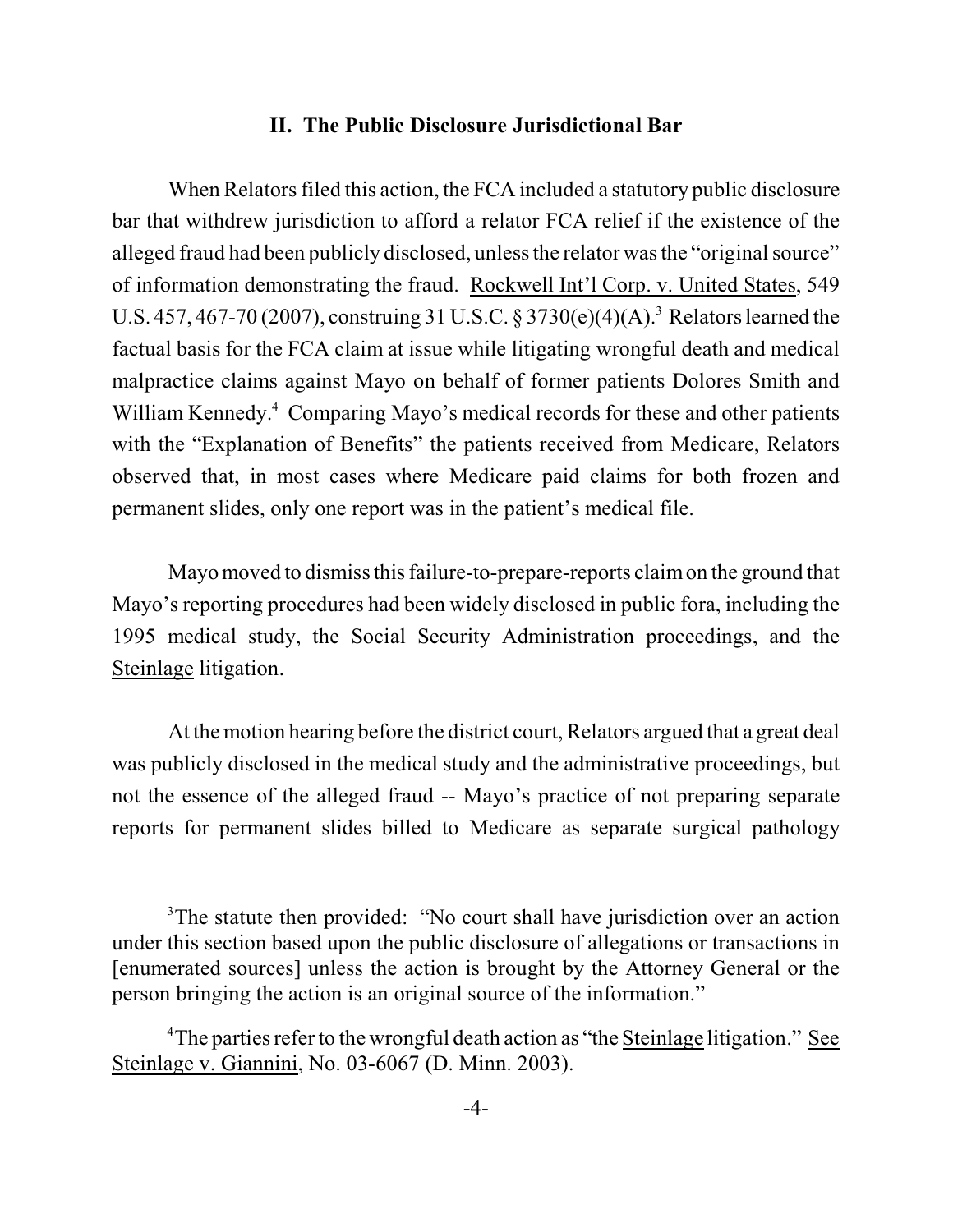## **II. The Public Disclosure Jurisdictional Bar**

When Relators filed this action, the FCA included a statutory public disclosure bar that withdrew jurisdiction to afford a relator FCA relief if the existence of the alleged fraud had been publicly disclosed, unless the relator was the "original source" of information demonstrating the fraud. Rockwell Int'l Corp. v. United States, 549 U.S. 457, 467-70 (2007), construing 31 U.S.C. § 3730(e)(4)(A).<sup>3</sup> Relators learned the factual basis for the FCA claim at issue while litigating wrongful death and medical malpractice claims against Mayo on behalf of former patients Dolores Smith and William Kennedy.<sup>4</sup> Comparing Mayo's medical records for these and other patients with the "Explanation of Benefits" the patients received from Medicare, Relators observed that, in most cases where Medicare paid claims for both frozen and permanent slides, only one report was in the patient's medical file.

Mayo moved to dismiss this failure-to-prepare-reports claim on the ground that Mayo's reporting procedures had been widely disclosed in public fora, including the 1995 medical study, the Social Security Administration proceedings, and the Steinlage litigation.

At the motion hearing before the district court, Relators argued that a great deal was publicly disclosed in the medical study and the administrative proceedings, but not the essence of the alleged fraud -- Mayo's practice of not preparing separate reports for permanent slides billed to Medicare as separate surgical pathology

<sup>&</sup>lt;sup>3</sup>The statute then provided: "No court shall have jurisdiction over an action under this section based upon the public disclosure of allegations or transactions in [enumerated sources] unless the action is brought by the Attorney General or the person bringing the action is an original source of the information."

<sup>&</sup>lt;sup>4</sup>The parties refer to the wrongful death action as "the Steinlage litigation." See Steinlage v. Giannini, No. 03-6067 (D. Minn. 2003).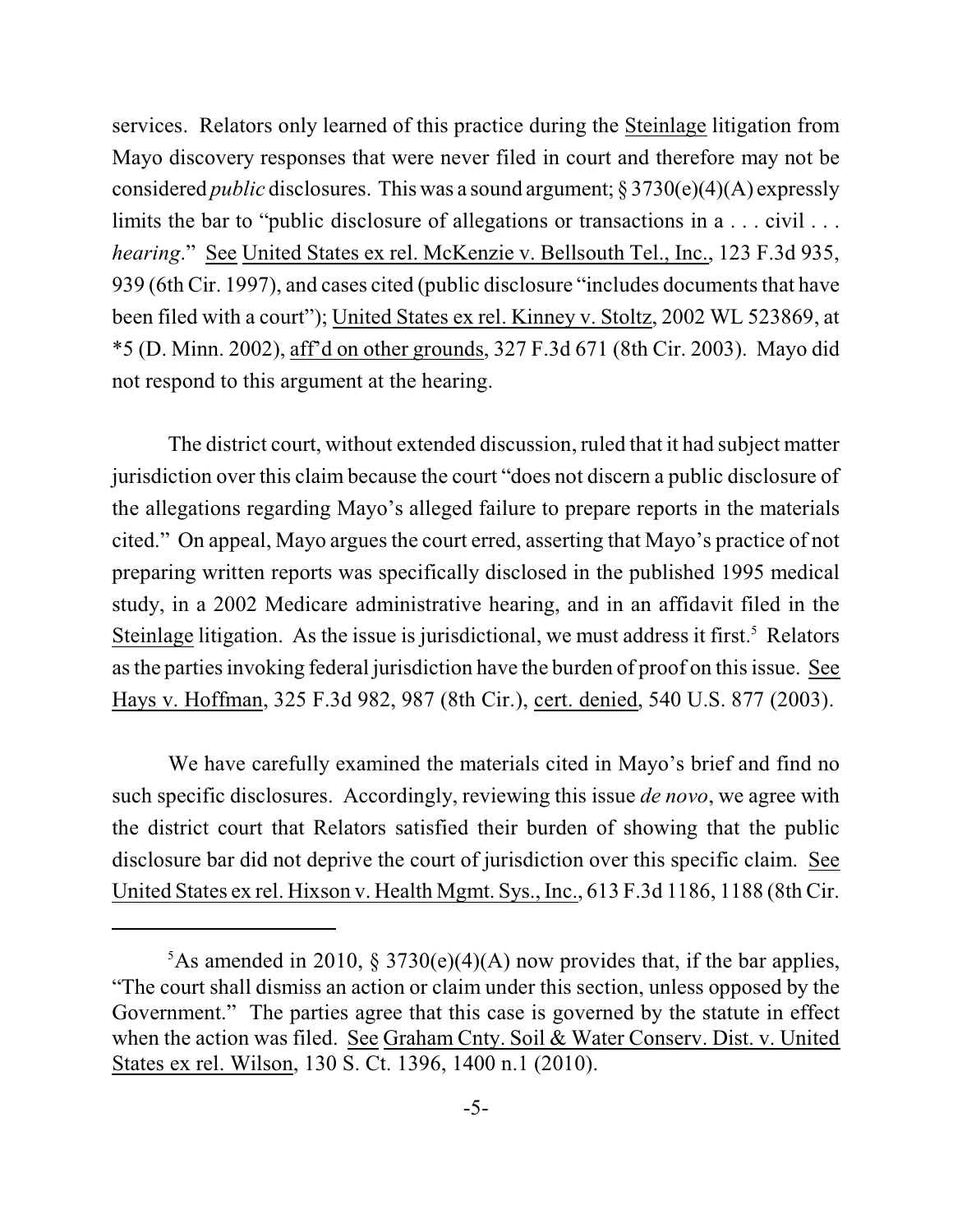services. Relators only learned of this practice during the Steinlage litigation from Mayo discovery responses that were never filed in court and therefore may not be considered *public* disclosures. This was a sound argument; § 3730(e)(4)(A) expressly limits the bar to "public disclosure of allegations or transactions in a . . . civil . . . *hearing*." See United States ex rel. McKenzie v. Bellsouth Tel., Inc., 123 F.3d 935, 939 (6th Cir. 1997), and cases cited (public disclosure "includes documents that have been filed with a court"); United States ex rel. Kinney v. Stoltz, 2002 WL 523869, at \*5 (D. Minn. 2002), aff'd on other grounds, 327 F.3d 671 (8th Cir. 2003). Mayo did not respond to this argument at the hearing.

The district court, without extended discussion, ruled that it had subject matter jurisdiction over this claim because the court "does not discern a public disclosure of the allegations regarding Mayo's alleged failure to prepare reports in the materials cited." On appeal, Mayo argues the court erred, asserting that Mayo's practice of not preparing written reports was specifically disclosed in the published 1995 medical study, in a 2002 Medicare administrative hearing, and in an affidavit filed in the Steinlage litigation. As the issue is jurisdictional, we must address it first.<sup>5</sup> Relators as the parties invoking federal jurisdiction have the burden of proof on this issue. See Hays v. Hoffman, 325 F.3d 982, 987 (8th Cir.), cert. denied, 540 U.S. 877 (2003).

We have carefully examined the materials cited in Mayo's brief and find no such specific disclosures. Accordingly, reviewing this issue *de novo*, we agree with the district court that Relators satisfied their burden of showing that the public disclosure bar did not deprive the court of jurisdiction over this specific claim. See United States ex rel. Hixson v. Health Mgmt. Sys., Inc., 613 F.3d 1186, 1188 (8th Cir.

<sup>&</sup>lt;sup>5</sup>As amended in 2010, § 3730(e)(4)(A) now provides that, if the bar applies, "The court shall dismiss an action or claim under this section, unless opposed by the Government." The parties agree that this case is governed by the statute in effect when the action was filed. See Graham Cnty. Soil & Water Conserv. Dist. v. United States ex rel. Wilson, 130 S. Ct. 1396, 1400 n.1 (2010).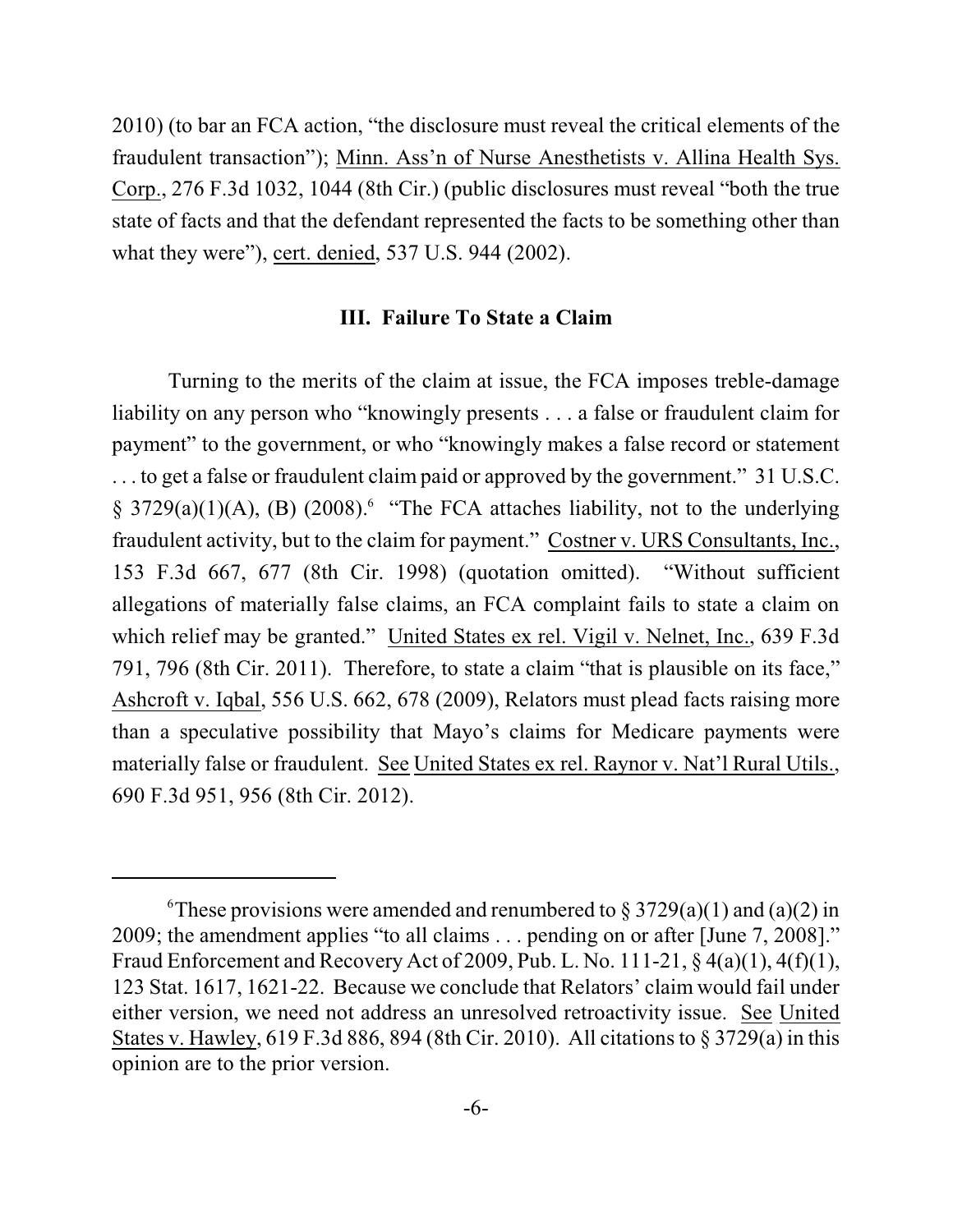2010) (to bar an FCA action, "the disclosure must reveal the critical elements of the fraudulent transaction"); Minn. Ass'n of Nurse Anesthetists v. Allina Health Sys. Corp., 276 F.3d 1032, 1044 (8th Cir.) (public disclosures must reveal "both the true state of facts and that the defendant represented the facts to be something other than what they were"), cert. denied, 537 U.S. 944 (2002).

## **III. Failure To State a Claim**

Turning to the merits of the claim at issue, the FCA imposes treble-damage liability on any person who "knowingly presents . . . a false or fraudulent claim for payment" to the government, or who "knowingly makes a false record or statement . . . to get a false or fraudulent claim paid or approved by the government." 31 U.S.C.  $\S$  3729(a)(1)(A), (B) (2008). "The FCA attaches liability, not to the underlying fraudulent activity, but to the claim for payment." Costner v. URS Consultants, Inc., 153 F.3d 667, 677 (8th Cir. 1998) (quotation omitted). "Without sufficient allegations of materially false claims, an FCA complaint fails to state a claim on which relief may be granted." United States ex rel. Vigil v. Nelnet, Inc., 639 F.3d 791, 796 (8th Cir. 2011). Therefore, to state a claim "that is plausible on its face," Ashcroft v. Iqbal, 556 U.S. 662, 678 (2009), Relators must plead facts raising more than a speculative possibility that Mayo's claims for Medicare payments were materially false or fraudulent. See United States ex rel. Raynor v. Nat'l Rural Utils., 690 F.3d 951, 956 (8th Cir. 2012).

<sup>&</sup>lt;sup>6</sup>These provisions were amended and renumbered to § 3729(a)(1) and (a)(2) in 2009; the amendment applies "to all claims . . . pending on or after [June 7, 2008]." Fraud Enforcement and Recovery Act of 2009, Pub. L. No. 111-21, § 4(a)(1), 4(f)(1), 123 Stat. 1617, 1621-22. Because we conclude that Relators' claim would fail under either version, we need not address an unresolved retroactivity issue. See United States v. Hawley, 619 F.3d 886, 894 (8th Cir. 2010). All citations to § 3729(a) in this opinion are to the prior version.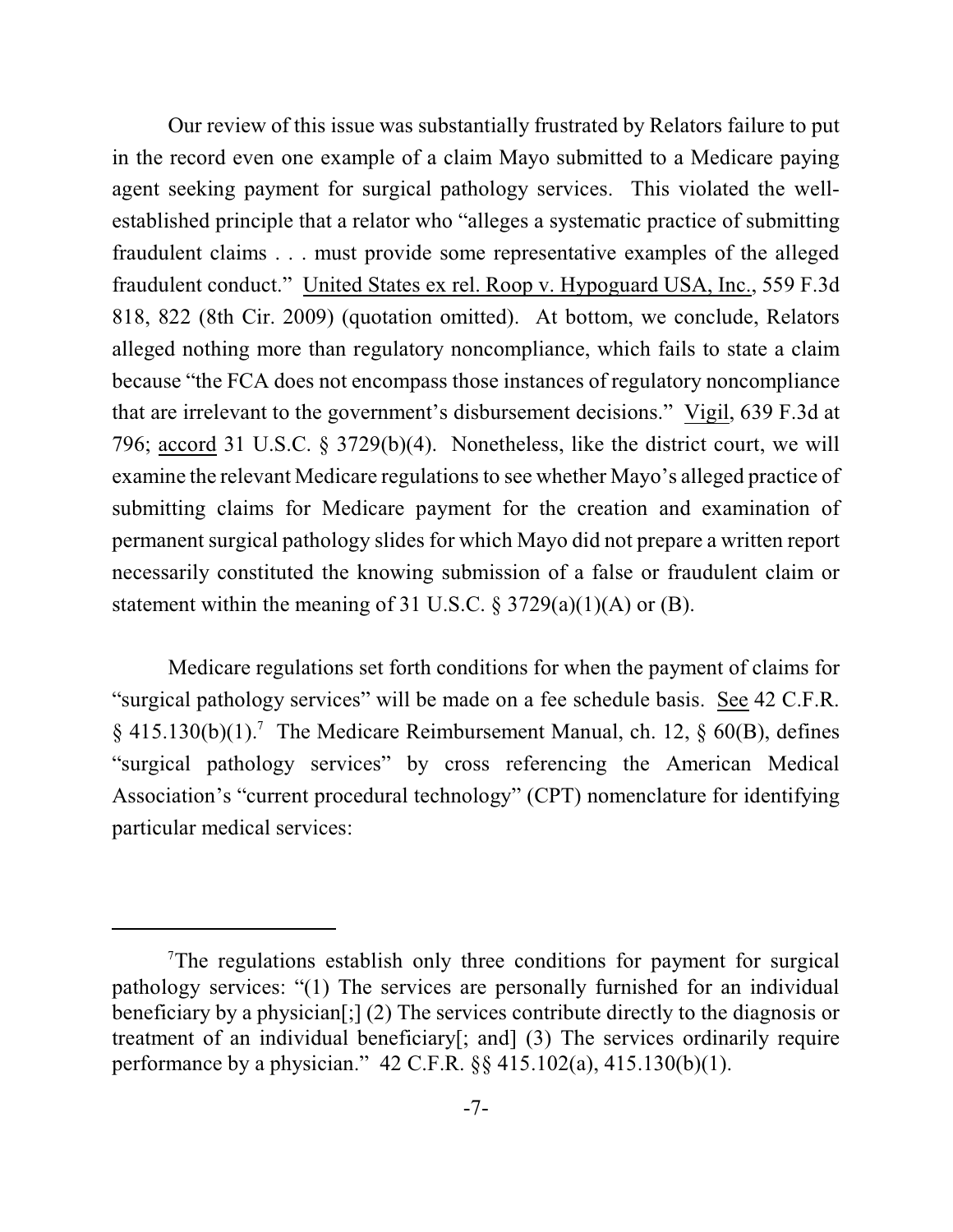Our review of this issue was substantially frustrated by Relators failure to put in the record even one example of a claim Mayo submitted to a Medicare paying agent seeking payment for surgical pathology services. This violated the wellestablished principle that a relator who "alleges a systematic practice of submitting fraudulent claims . . . must provide some representative examples of the alleged fraudulent conduct." United States ex rel. Roop v. Hypoguard USA, Inc., 559 F.3d 818, 822 (8th Cir. 2009) (quotation omitted). At bottom, we conclude, Relators alleged nothing more than regulatory noncompliance, which fails to state a claim because "the FCA does not encompass those instances of regulatory noncompliance that are irrelevant to the government's disbursement decisions." Vigil, 639 F.3d at 796; accord 31 U.S.C. § 3729(b)(4). Nonetheless, like the district court, we will examine the relevant Medicare regulations to see whether Mayo's alleged practice of submitting claims for Medicare payment for the creation and examination of permanent surgical pathology slides for which Mayo did not prepare a written report necessarily constituted the knowing submission of a false or fraudulent claim or statement within the meaning of 31 U.S.C.  $\S 3729(a)(1)(A)$  or (B).

Medicare regulations set forth conditions for when the payment of claims for "surgical pathology services" will be made on a fee schedule basis. See 42 C.F.R.  $\S$  415.130(b)(1).<sup>7</sup> The Medicare Reimbursement Manual, ch. 12,  $\S$  60(B), defines "surgical pathology services" by cross referencing the American Medical Association's "current procedural technology" (CPT) nomenclature for identifying particular medical services:

<sup>&</sup>lt;sup>7</sup>The regulations establish only three conditions for payment for surgical pathology services: "(1) The services are personally furnished for an individual beneficiary by a physician[;] (2) The services contribute directly to the diagnosis or treatment of an individual beneficiary[; and] (3) The services ordinarily require performance by a physician." 42 C.F.R. §§ 415.102(a), 415.130(b)(1).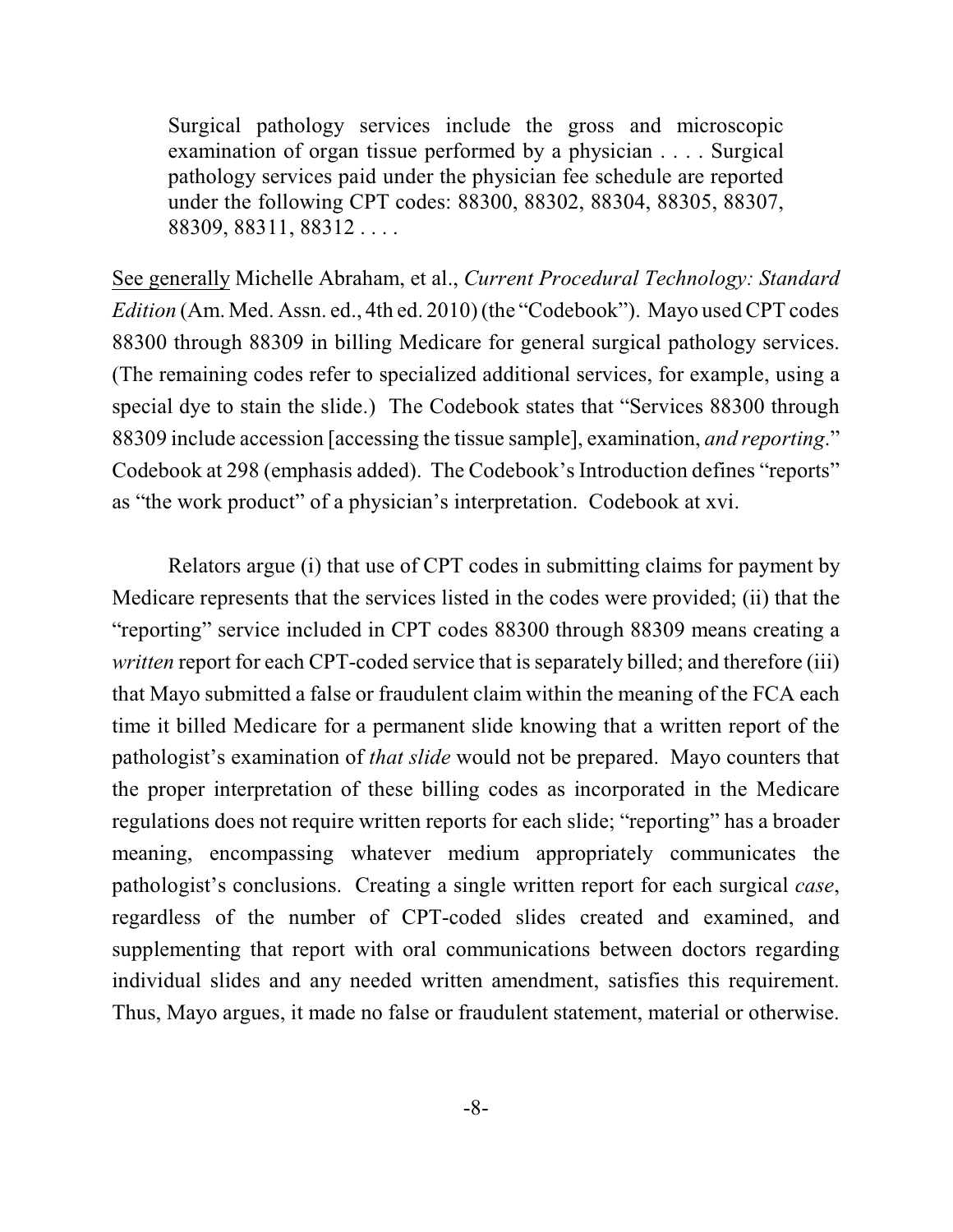Surgical pathology services include the gross and microscopic examination of organ tissue performed by a physician . . . . Surgical pathology services paid under the physician fee schedule are reported under the following CPT codes: 88300, 88302, 88304, 88305, 88307, 88309, 88311, 88312 . . . .

See generally Michelle Abraham, et al., *Current Procedural Technology: Standard Edition* (Am. Med. Assn. ed., 4th ed. 2010) (the "Codebook"). Mayo used CPT codes 88300 through 88309 in billing Medicare for general surgical pathology services. (The remaining codes refer to specialized additional services, for example, using a special dye to stain the slide.) The Codebook states that "Services 88300 through 88309 include accession [accessing the tissue sample], examination, *and reporting*." Codebook at 298 (emphasis added). The Codebook's Introduction defines "reports" as "the work product" of a physician's interpretation. Codebook at xvi.

Relators argue (i) that use of CPT codes in submitting claims for payment by Medicare represents that the services listed in the codes were provided; (ii) that the "reporting" service included in CPT codes 88300 through 88309 means creating a *written* report for each CPT-coded service that is separately billed; and therefore (iii) that Mayo submitted a false or fraudulent claim within the meaning of the FCA each time it billed Medicare for a permanent slide knowing that a written report of the pathologist's examination of *that slide* would not be prepared. Mayo counters that the proper interpretation of these billing codes as incorporated in the Medicare regulations does not require written reports for each slide; "reporting" has a broader meaning, encompassing whatever medium appropriately communicates the pathologist's conclusions. Creating a single written report for each surgical *case*, regardless of the number of CPT-coded slides created and examined, and supplementing that report with oral communications between doctors regarding individual slides and any needed written amendment, satisfies this requirement. Thus, Mayo argues, it made no false or fraudulent statement, material or otherwise.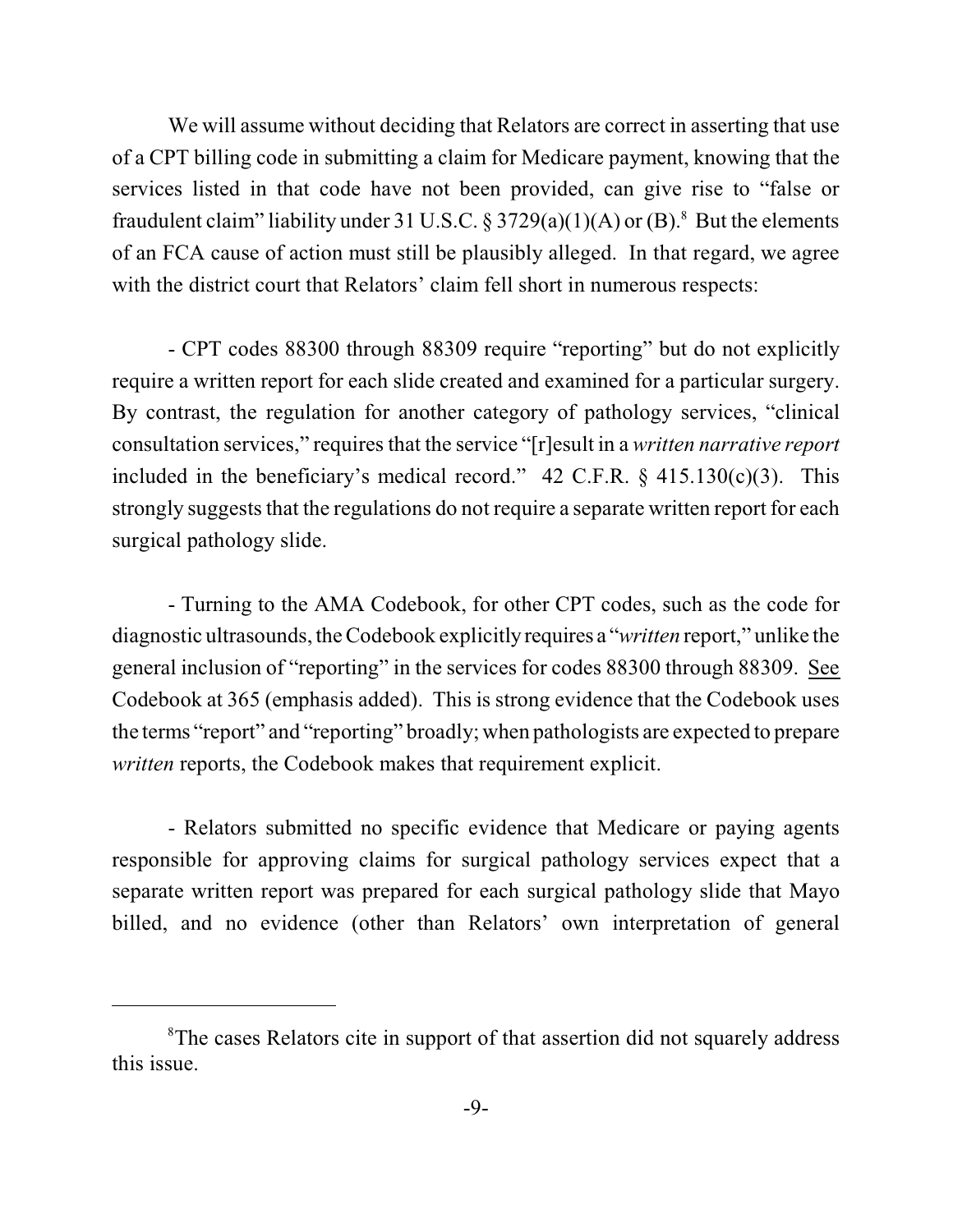We will assume without deciding that Relators are correct in asserting that use of a CPT billing code in submitting a claim for Medicare payment, knowing that the services listed in that code have not been provided, can give rise to "false or fraudulent claim" liability under 31 U.S.C. § 3729(a)(1)(A) or (B).<sup>8</sup> But the elements of an FCA cause of action must still be plausibly alleged. In that regard, we agree with the district court that Relators' claim fell short in numerous respects:

- CPT codes 88300 through 88309 require "reporting" but do not explicitly require a written report for each slide created and examined for a particular surgery. By contrast, the regulation for another category of pathology services, "clinical consultation services," requires that the service "[r]esult in a *written narrative report* included in the beneficiary's medical record."  $42$  C.F.R. §  $415.130(c)(3)$ . This strongly suggests that the regulations do not require a separate written report for each surgical pathology slide.

- Turning to the AMA Codebook, for other CPT codes, such as the code for diagnostic ultrasounds, the Codebook explicitly requires a "*written* report," unlike the general inclusion of "reporting" in the services for codes 88300 through 88309. See Codebook at 365 (emphasis added). This is strong evidence that the Codebook uses the terms "report" and "reporting" broadly; when pathologists are expected to prepare *written* reports, the Codebook makes that requirement explicit.

- Relators submitted no specific evidence that Medicare or paying agents responsible for approving claims for surgical pathology services expect that a separate written report was prepared for each surgical pathology slide that Mayo billed, and no evidence (other than Relators' own interpretation of general

<sup>&</sup>lt;sup>8</sup>The cases Relators cite in support of that assertion did not squarely address this issue.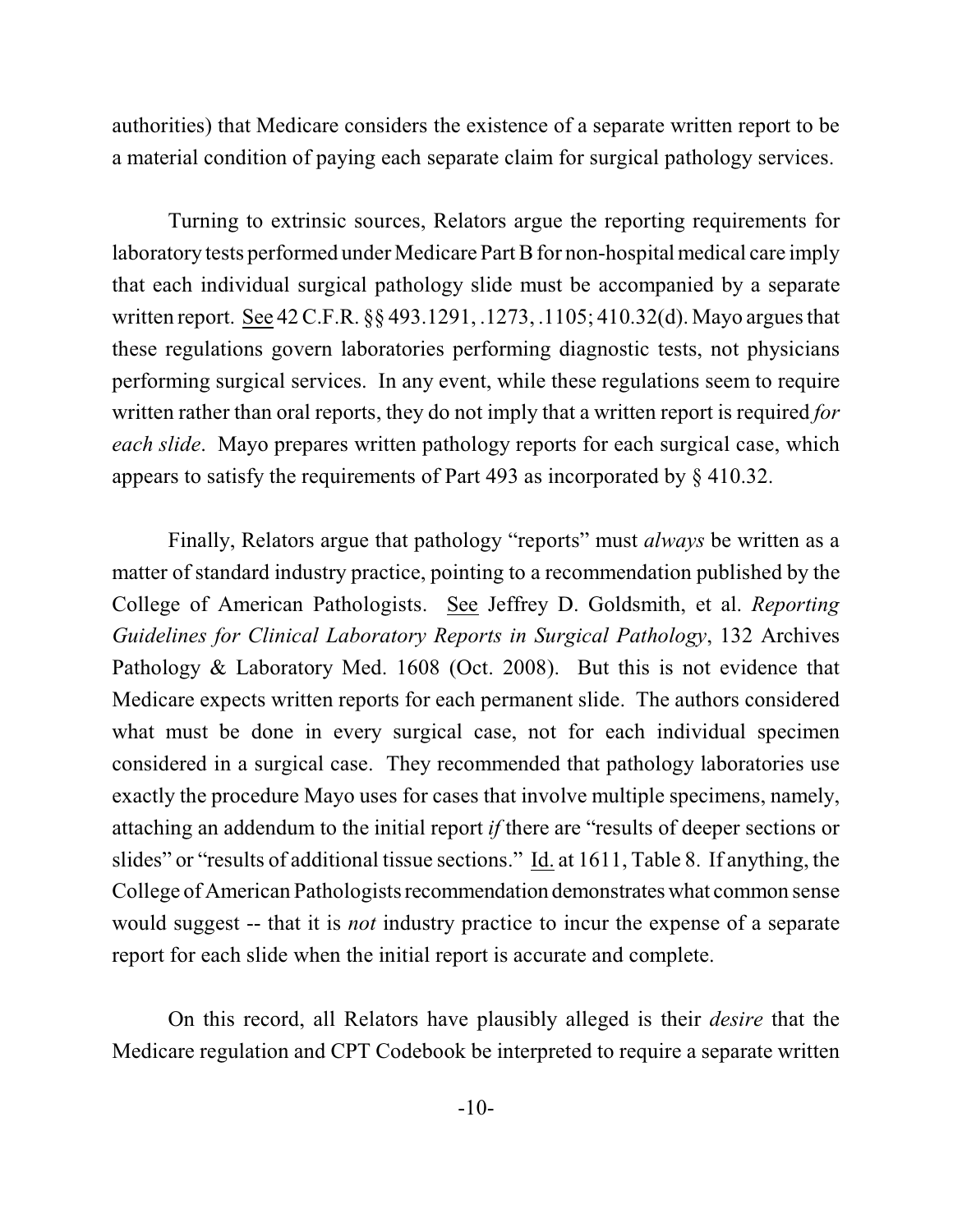authorities) that Medicare considers the existence of a separate written report to be a material condition of paying each separate claim for surgical pathology services.

Turning to extrinsic sources, Relators argue the reporting requirements for laboratory tests performed under Medicare Part B for non-hospital medical care imply that each individual surgical pathology slide must be accompanied by a separate written report. See 42C.F.R. §§ 493.1291, .1273, .1105; 410.32(d). Mayo argues that these regulations govern laboratories performing diagnostic tests, not physicians performing surgical services. In any event, while these regulations seem to require written rather than oral reports, they do not imply that a written report is required *for each slide*. Mayo prepares written pathology reports for each surgical case, which appears to satisfy the requirements of Part 493 as incorporated by § 410.32.

Finally, Relators argue that pathology "reports" must *always* be written as a matter of standard industry practice, pointing to a recommendation published by the College of American Pathologists. See Jeffrey D. Goldsmith, et al. *Reporting Guidelines for Clinical Laboratory Reports in Surgical Pathology*, 132 Archives Pathology & Laboratory Med. 1608 (Oct. 2008). But this is not evidence that Medicare expects written reports for each permanent slide. The authors considered what must be done in every surgical case, not for each individual specimen considered in a surgical case. They recommended that pathology laboratories use exactly the procedure Mayo uses for cases that involve multiple specimens, namely, attaching an addendum to the initial report *if* there are "results of deeper sections or slides" or "results of additional tissue sections." Id. at 1611, Table 8. If anything, the College of American Pathologists recommendation demonstrates what common sense would suggest -- that it is *not* industry practice to incur the expense of a separate report for each slide when the initial report is accurate and complete.

On this record, all Relators have plausibly alleged is their *desire* that the Medicare regulation and CPT Codebook be interpreted to require a separate written